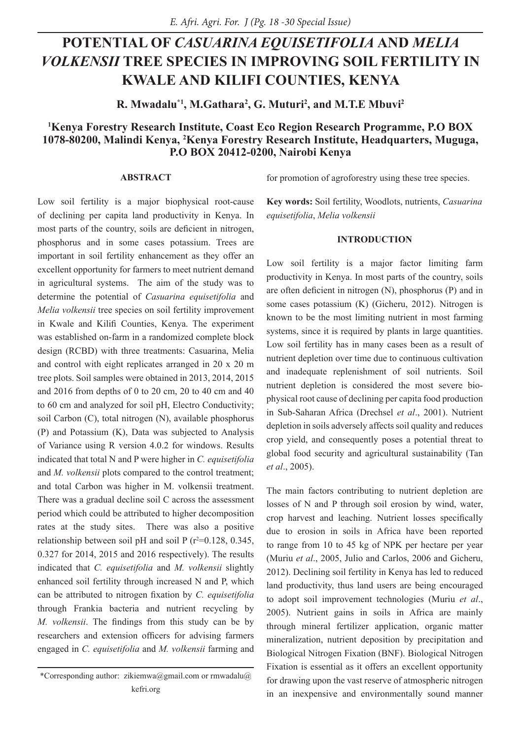# **POTENTIAL OF** *CASUARINA EQUISETIFOLIA* **AND** *MELIA VOLKENSII* **TREE SPECIES IN IMPROVING SOIL FERTILITY IN KWALE AND KILIFI COUNTIES, KENYA**

**R. Mwadalu\*1, M.Gathara2 , G. Muturi2 , and M.T.E Mbuvi2**

# **1 Kenya Forestry Research Institute, Coast Eco Region Research Programme, P.O BOX 1078-80200, Malindi Kenya, 2 Kenya Forestry Research Institute, Headquarters, Muguga, P.O BOX 20412-0200, Nairobi Kenya**

## **ABSTRACT**

Low soil fertility is a major biophysical root-cause of declining per capita land productivity in Kenya. In most parts of the country, soils are deficient in nitrogen, phosphorus and in some cases potassium. Trees are important in soil fertility enhancement as they offer an excellent opportunity for farmers to meet nutrient demand in agricultural systems. The aim of the study was to determine the potential of *Casuarina equisetifolia* and *Melia volkensii* tree species on soil fertility improvement in Kwale and Kilifi Counties, Kenya. The experiment was established on-farm in a randomized complete block design (RCBD) with three treatments: Casuarina, Melia and control with eight replicates arranged in 20 x 20 m tree plots. Soil samples were obtained in 2013, 2014, 2015 and 2016 from depths of 0 to 20 cm, 20 to 40 cm and 40 to 60 cm and analyzed for soil pH, Electro Conductivity; soil Carbon (C), total nitrogen (N), available phosphorus (P) and Potassium (K), Data was subjected to Analysis of Variance using R version 4.0.2 for windows. Results indicated that total N and P were higher in *C. equisetifolia* and *M. volkensii* plots compared to the control treatment; and total Carbon was higher in M. volkensii treatment. There was a gradual decline soil C across the assessment period which could be attributed to higher decomposition rates at the study sites. There was also a positive relationship between soil pH and soil P  $(r^2=0.128, 0.345,$ 0.327 for 2014, 2015 and 2016 respectively). The results indicated that *C. equisetifolia* and *M. volkensii* slightly enhanced soil fertility through increased N and P, which can be attributed to nitrogen fixation by *C. equisetifolia* through Frankia bacteria and nutrient recycling by *M. volkensii*. The findings from this study can be by researchers and extension officers for advising farmers engaged in *C. equisetifolia* and *M. volkensii* farming and

for promotion of agroforestry using these tree species.

**Key words:** Soil fertility, Woodlots, nutrients, *Casuarina equisetifolia*, *Melia volkensii*

# **INTRODUCTION**

Low soil fertility is a major factor limiting farm productivity in Kenya. In most parts of the country, soils are often deficient in nitrogen (N), phosphorus (P) and in some cases potassium (K) (Gicheru, 2012). Nitrogen is known to be the most limiting nutrient in most farming systems, since it is required by plants in large quantities. Low soil fertility has in many cases been as a result of nutrient depletion over time due to continuous cultivation and inadequate replenishment of soil nutrients. Soil nutrient depletion is considered the most severe biophysical root cause of declining per capita food production in Sub-Saharan Africa (Drechsel *et al*., 2001). Nutrient depletion in soils adversely affects soil quality and reduces crop yield, and consequently poses a potential threat to global food security and agricultural sustainability (Tan *et al*., 2005).

The main factors contributing to nutrient depletion are losses of N and P through soil erosion by wind, water, crop harvest and leaching. Nutrient losses specifically due to erosion in soils in Africa have been reported to range from 10 to 45 kg of NPK per hectare per year (Muriu *et al*., 2005, Julio and Carlos, 2006 and Gicheru, 2012). Declining soil fertility in Kenya has led to reduced land productivity, thus land users are being encouraged to adopt soil improvement technologies (Muriu *et al*., 2005). Nutrient gains in soils in Africa are mainly through mineral fertilizer application, organic matter mineralization, nutrient deposition by precipitation and Biological Nitrogen Fixation (BNF). Biological Nitrogen Fixation is essential as it offers an excellent opportunity for drawing upon the vast reserve of atmospheric nitrogen in an inexpensive and environmentally sound manner

<sup>\*</sup>Corresponding author: zikiemwa@gmail.com or rmwadalu@ kefri.org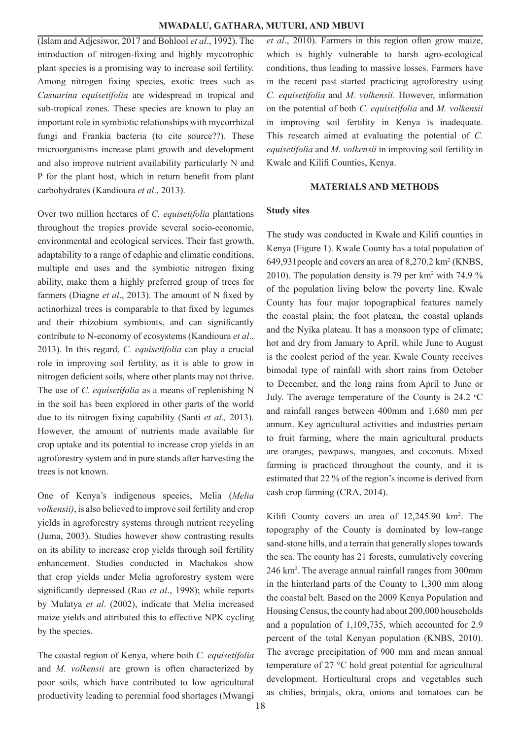(Islam and Adjesiwor, 2017 and Bohlool *et al*., 1992). The introduction of nitrogen-fixing and highly mycotrophic plant species is a promising way to increase soil fertility. Among nitrogen fixing species, exotic trees such as *Casuarina equisetifolia* are widespread in tropical and sub-tropical zones. These species are known to play an important role in symbiotic relationships with mycorrhizal fungi and Frankia bacteria (to cite source??). These microorganisms increase plant growth and development and also improve nutrient availability particularly N and P for the plant host, which in return benefit from plant carbohydrates (Kandioura *et al*., 2013).

Over two million hectares of *C. equisetifolia* plantations throughout the tropics provide several socio-economic, environmental and ecological services. Their fast growth, adaptability to a range of edaphic and climatic conditions, multiple end uses and the symbiotic nitrogen fixing ability, make them a highly preferred group of trees for farmers (Diagne *et al*., 2013). The amount of N fixed by actinorhizal trees is comparable to that fixed by legumes and their rhizobium symbionts, and can significantly contribute to N-economy of ecosystems (Kandioura *et al*., 2013). In this regard, *C. equisetifolia* can play a crucial role in improving soil fertility, as it is able to grow in nitrogen deficient soils, where other plants may not thrive. The use of *C. equisetifolia* as a means of replenishing N in the soil has been explored in other parts of the world due to its nitrogen fixing capability (Santi *et al.,* 2013). However, the amount of nutrients made available for crop uptake and its potential to increase crop yields in an agroforestry system and in pure stands after harvesting the trees is not known.

One of Kenya's indigenous species, Melia (*Melia volkensii)*, is also believed to improve soil fertility and crop yields in agroforestry systems through nutrient recycling (Juma, 2003). Studies however show contrasting results on its ability to increase crop yields through soil fertility enhancement. Studies conducted in Machakos show that crop yields under Melia agroforestry system were significantly depressed (Rao *et al*., 1998); while reports by Mulatya *et al*. (2002), indicate that Melia increased maize yields and attributed this to effective NPK cycling by the species.

The coastal region of Kenya, where both *C. equisetifolia*  and *M. volkensii* are grown is often characterized by poor soils, which have contributed to low agricultural productivity leading to perennial food shortages (Mwangi

*et al*., 2010). Farmers in this region often grow maize, which is highly vulnerable to harsh agro-ecological conditions, thus leading to massive losses. Farmers have in the recent past started practicing agroforestry using *C. equisetifolia* and *M. volkensii*. However, information on the potential of both *C. equisetifolia* and *M. volkensii* in improving soil fertility in Kenya is inadequate. This research aimed at evaluating the potential of *C. equisetifolia* and *M. volkensii* in improving soil fertility in Kwale and Kilifi Counties, Kenya.

# **MATERIALS AND METHODS**

#### **Study sites**

The study was conducted in Kwale and Kilifi counties in Kenya (Figure 1). Kwale County has a total population of 649,931people and covers an area of 8,270.2 km2 (KNBS, 2010). The population density is 79 per  $km^2$  with 74.9 % of the population living below the poverty line. Kwale County has four major topographical features namely the coastal plain; the foot plateau, the coastal uplands and the Nyika plateau. It has a monsoon type of climate; hot and dry from January to April, while June to August is the coolest period of the year. Kwale County receives bimodal type of rainfall with short rains from October to December, and the long rains from April to June or July. The average temperature of the County is  $24.2 \text{ °C}$ and rainfall ranges between 400mm and 1,680 mm per annum. Key agricultural activities and industries pertain to fruit farming, where the main agricultural products are oranges, pawpaws, mangoes, and coconuts. Mixed farming is practiced throughout the county, and it is estimated that 22 % of the region's income is derived from cash crop farming (CRA, 2014).

Kilifi County covers an area of 12,245.90 km<sup>2</sup>. The topography of the County is dominated by low-range sand-stone hills, and a terrain that generally slopes towards the sea. The county has 21 forests, cumulatively covering 246 km2 . The average annual rainfall ranges from 300mm in the hinterland parts of the County to 1,300 mm along the coastal belt. Based on the 2009 Kenya Population and Housing Census, the county had about 200,000 households and a population of 1,109,735, which accounted for 2.9 percent of the total Kenyan population (KNBS, 2010). The average precipitation of 900 mm and mean annual temperature of 27 °C hold great potential for agricultural development. Horticultural crops and vegetables such as chilies, brinjals, okra, onions and tomatoes can be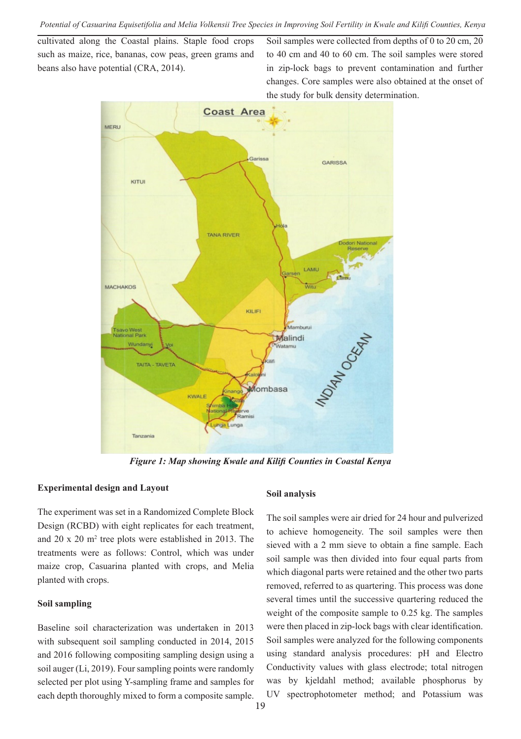cultivated along the Coastal plains. Staple food crops such as maize, rice, bananas, cow peas, green grams and beans also have potential (CRA, 2014).

Soil samples were collected from depths of 0 to 20 cm, 20 to 40 cm and 40 to 60 cm. The soil samples were stored in zip-lock bags to prevent contamination and further changes. Core samples were also obtained at the onset of the study for bulk density determination.



*Figure 1: Map showing Kwale and Kilifi Counties in Coastal Kenya*

# **Experimental design and Layout**

The experiment was set in a Randomized Complete Block Design (RCBD) with eight replicates for each treatment, and 20 x 20 m2 tree plots were established in 2013. The treatments were as follows: Control, which was under maize crop, Casuarina planted with crops, and Melia planted with crops.

# **Soil sampling**

Baseline soil characterization was undertaken in 2013 with subsequent soil sampling conducted in 2014, 2015 and 2016 following compositing sampling design using a soil auger (Li, 2019). Four sampling points were randomly selected per plot using Y-sampling frame and samples for each depth thoroughly mixed to form a composite sample.

# **Soil analysis**

The soil samples were air dried for 24 hour and pulverized to achieve homogeneity. The soil samples were then sieved with a 2 mm sieve to obtain a fine sample. Each soil sample was then divided into four equal parts from which diagonal parts were retained and the other two parts removed, referred to as quartering. This process was done several times until the successive quartering reduced the weight of the composite sample to 0.25 kg. The samples were then placed in zip-lock bags with clear identification. Soil samples were analyzed for the following components using standard analysis procedures: pH and Electro Conductivity values with glass electrode; total nitrogen was by kjeldahl method; available phosphorus by UV spectrophotometer method; and Potassium was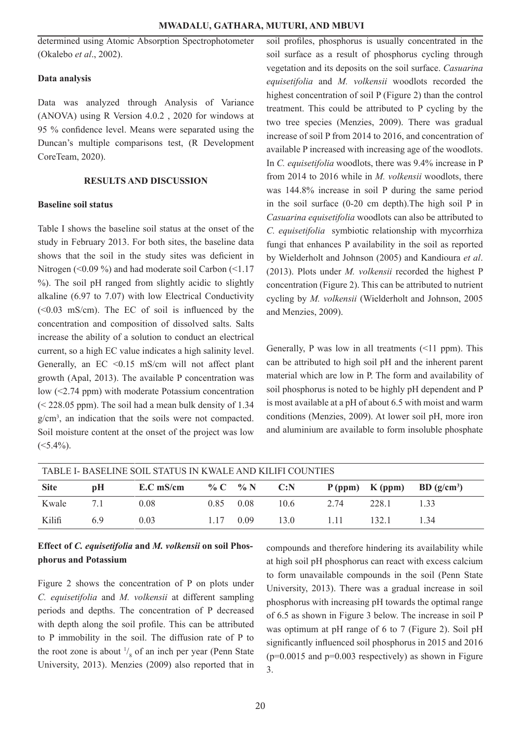determined using Atomic Absorption Spectrophotometer (Okalebo *et al*., 2002).

#### **Data analysis**

Data was analyzed through Analysis of Variance (ANOVA) using R Version 4.0.2 , 2020 for windows at 95 % confidence level. Means were separated using the Duncan's multiple comparisons test, (R Development CoreTeam, 2020).

#### **RESULTS AND DISCUSSION**

#### **Baseline soil status**

Table I shows the baseline soil status at the onset of the study in February 2013. For both sites, the baseline data shows that the soil in the study sites was deficient in Nitrogen  $(<0.09\%$ ) and had moderate soil Carbon  $(<1.17$ %). The soil pH ranged from slightly acidic to slightly alkaline (6.97 to 7.07) with low Electrical Conductivity  $(<0.03$  mS/cm). The EC of soil is influenced by the concentration and composition of dissolved salts. Salts increase the ability of a solution to conduct an electrical current, so a high EC value indicates a high salinity level. Generally, an EC <0.15 mS/cm will not affect plant growth (Apal, 2013). The available P concentration was low (<2.74 ppm) with moderate Potassium concentration (< 228.05 ppm). The soil had a mean bulk density of 1.34 g/cm<sup>3</sup> , an indication that the soils were not compacted. Soil moisture content at the onset of the project was low  $(<5.4\%)$ .

soil profiles, phosphorus is usually concentrated in the soil surface as a result of phosphorus cycling through vegetation and its deposits on the soil surface. *Casuarina equisetifolia* and *M. volkensii* woodlots recorded the highest concentration of soil P (Figure 2) than the control treatment. This could be attributed to P cycling by the two tree species (Menzies, 2009). There was gradual increase of soil P from 2014 to 2016, and concentration of available P increased with increasing age of the woodlots. In *C. equisetifolia* woodlots, there was 9.4% increase in P from 2014 to 2016 while in *M. volkensii* woodlots, there was 144.8% increase in soil P during the same period in the soil surface (0-20 cm depth).The high soil P in *Casuarina equisetifolia* woodlots can also be attributed to *C. equisetifolia* symbiotic relationship with mycorrhiza fungi that enhances P availability in the soil as reported by Wielderholt and Johnson (2005) and Kandioura *et al*. (2013). Plots under *M. volkensii* recorded the highest P concentration (Figure 2). This can be attributed to nutrient cycling by *M. volkensii* (Wielderholt and Johnson, 2005 and Menzies, 2009).

Generally, P was low in all treatments (<11 ppm). This can be attributed to high soil pH and the inherent parent material which are low in P. The form and availability of soil phosphorus is noted to be highly pH dependent and P is most available at a pH of about 6.5 with moist and warm conditions (Menzies, 2009). At lower soil pH, more iron and aluminium are available to form insoluble phosphate

| TABLE I- BASELINE SOIL STATUS IN KWALE AND KILIFI COUNTIES |    |                             |           |           |      |      |       |                                           |
|------------------------------------------------------------|----|-----------------------------|-----------|-----------|------|------|-------|-------------------------------------------|
| <b>Site</b>                                                | рH | E.C mS/cm $\%$ C $\%$ N C:N |           |           |      |      |       | $P (ppm)$ K (ppm) BD (g/cm <sup>3</sup> ) |
| Kwale                                                      | 71 | 0.08                        | 0.85 0.08 |           | 10.6 | 2.74 | 228.1 | 133                                       |
| Kilifi                                                     | 69 | 0.03                        |           | 1 17 0 09 | 13.0 | 1.11 | 132.1 | 134                                       |

# **Effect of** *C. equisetifolia* **and** *M. volkensii* **on soil Phosphorus and Potassium**

Figure 2 shows the concentration of P on plots under *C. equisetifolia* and *M. volkensii* at different sampling periods and depths. The concentration of P decreased with depth along the soil profile. This can be attributed to P immobility in the soil. The diffusion rate of P to the root zone is about  $\frac{1}{8}$  of an inch per year (Penn State University, 2013). Menzies (2009) also reported that in

compounds and therefore hindering its availability while at high soil pH phosphorus can react with excess calcium to form unavailable compounds in the soil (Penn State University, 2013). There was a gradual increase in soil phosphorus with increasing pH towards the optimal range of 6.5 as shown in Figure 3 below. The increase in soil P was optimum at pH range of 6 to 7 (Figure 2). Soil pH significantly influenced soil phosphorus in 2015 and 2016  $(p=0.0015$  and  $p=0.003$  respectively) as shown in Figure 3.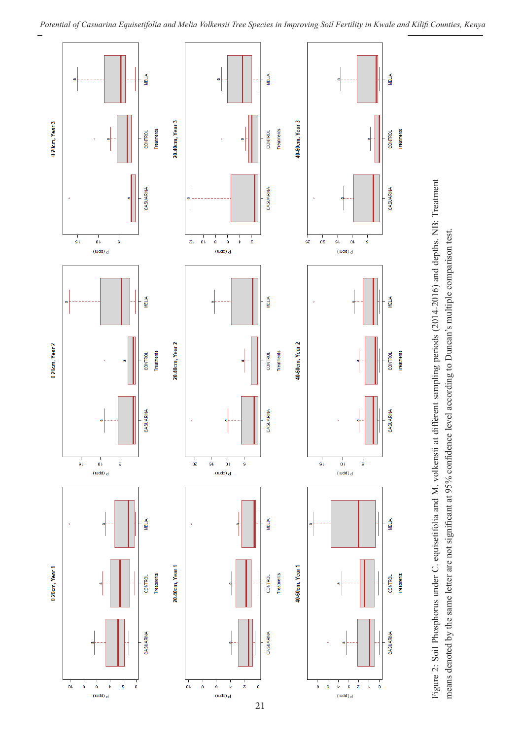

Figure 2: Soil Phosphorus under C. equisetifolia and M. volkensii at different sampling periods (2014-2016) and depths. NB: Treatment<br>means denoted by the same letter are not significant at 95% confidence level according t Figure 2: Soil Phosphorus under C. equisetifolia and M. volkensii at different sampling periods (2014-2016) and depths. NB: Treatment means denoted by the same letter are not significant at 95% confidence level according to Duncan's multiple comparison test.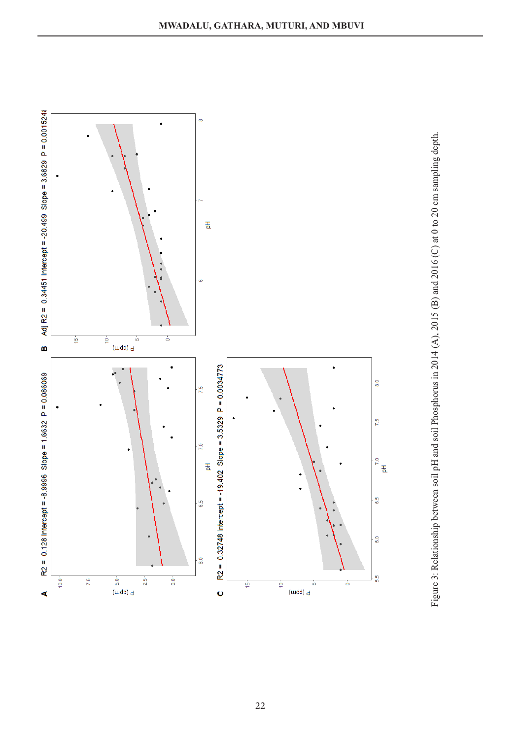

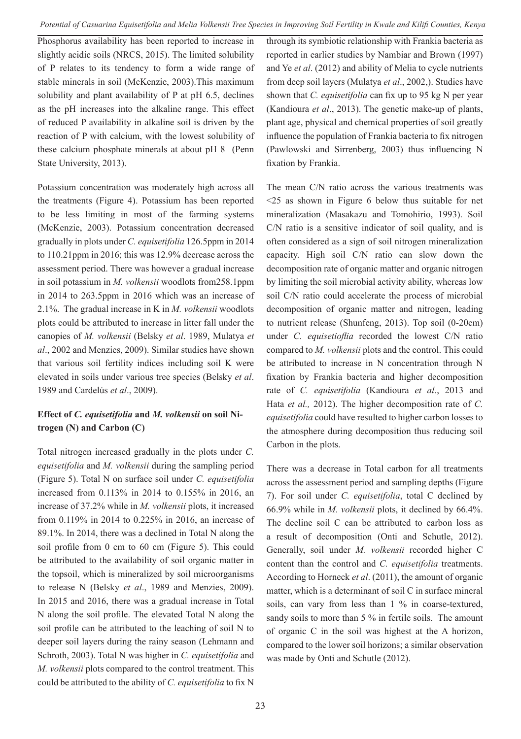Phosphorus availability has been reported to increase in slightly acidic soils (NRCS, 2015). The limited solubility of P relates to its tendency to form a wide range of stable minerals in soil (McKenzie, 2003).This maximum solubility and plant availability of P at pH 6.5, declines as the pH increases into the alkaline range. This effect of reduced P availability in alkaline soil is driven by the reaction of P with calcium, with the lowest solubility of these calcium phosphate minerals at about pH 8 (Penn State University, 2013).

Potassium concentration was moderately high across all the treatments (Figure 4). Potassium has been reported to be less limiting in most of the farming systems (McKenzie, 2003). Potassium concentration decreased gradually in plots under *C. equisetifolia* 126.5ppm in 2014 to 110.21ppm in 2016; this was 12.9% decrease across the assessment period. There was however a gradual increase in soil potassium in *M. volkensii* woodlots from258.1ppm in 2014 to 263.5ppm in 2016 which was an increase of 2.1%. The gradual increase in K in *M. volkensii* woodlots plots could be attributed to increase in litter fall under the canopies of *M. volkensii* (Belsky *et al*. 1989, Mulatya *et al*., 2002 and Menzies, 2009). Similar studies have shown that various soil fertility indices including soil K were elevated in soils under various tree species (Belsky *et al*. 1989 and Cardelús *et al*., 2009).

# **Effect of** *C. equisetifolia* **and** *M. volkensii* **on soil Nitrogen (N) and Carbon (C)**

Total nitrogen increased gradually in the plots under *C. equisetifolia* and *M. volkensii* during the sampling period (Figure 5). Total N on surface soil under *C. equisetifolia* increased from 0.113% in 2014 to 0.155% in 2016, an increase of 37.2% while in *M. volkensii* plots, it increased from 0.119% in 2014 to 0.225% in 2016, an increase of 89.1%. In 2014, there was a declined in Total N along the soil profile from 0 cm to 60 cm (Figure 5). This could be attributed to the availability of soil organic matter in the topsoil, which is mineralized by soil microorganisms to release N (Belsky *et al*., 1989 and Menzies, 2009). In 2015 and 2016, there was a gradual increase in Total N along the soil profile. The elevated Total N along the soil profile can be attributed to the leaching of soil N to deeper soil layers during the rainy season (Lehmann and Schroth, 2003). Total N was higher in *C. equisetifolia* and *M. volkensii* plots compared to the control treatment. This could be attributed to the ability of *C. equisetifolia* to fix N

through its symbiotic relationship with Frankia bacteria as reported in earlier studies by Nambiar and Brown (1997) and Ye *et al*. (2012) and ability of Melia to cycle nutrients from deep soil layers (Mulatya *et al*., 2002,). Studies have shown that *C. equisetifolia* can fix up to 95 kg N per year (Kandioura *et al*., 2013). The genetic make-up of plants, plant age, physical and chemical properties of soil greatly influence the population of Frankia bacteria to fix nitrogen (Pawlowski and Sirrenberg, 2003) thus influencing N fixation by Frankia.

The mean C/N ratio across the various treatments was <25 as shown in Figure 6 below thus suitable for net mineralization (Masakazu and Tomohirio, 1993). Soil C/N ratio is a sensitive indicator of soil quality, and is often considered as a sign of soil nitrogen mineralization capacity. High soil C/N ratio can slow down the decomposition rate of organic matter and organic nitrogen by limiting the soil microbial activity ability, whereas low soil C/N ratio could accelerate the process of microbial decomposition of organic matter and nitrogen, leading to nutrient release (Shunfeng, 2013). Top soil (0-20cm) under *C. equisetioflia* recorded the lowest C/N ratio compared to *M. volkensii* plots and the control. This could be attributed to increase in N concentration through N fixation by Frankia bacteria and higher decomposition rate of *C. equisetifolia* (Kandioura *et al*., 2013 and Hata *et al.,* 2012). The higher decomposition rate of *C. equisetifolia* could have resulted to higher carbon losses to the atmosphere during decomposition thus reducing soil Carbon in the plots.

There was a decrease in Total carbon for all treatments across the assessment period and sampling depths (Figure 7). For soil under *C. equisetifolia*, total C declined by 66.9% while in *M. volkensii* plots, it declined by 66.4%. The decline soil C can be attributed to carbon loss as a result of decomposition (Onti and Schutle, 2012). Generally, soil under *M. volkensii* recorded higher C content than the control and *C. equisetifolia* treatments. According to Horneck *et al*. (2011), the amount of organic matter, which is a determinant of soil C in surface mineral soils, can vary from less than 1 % in coarse-textured, sandy soils to more than 5 % in fertile soils. The amount of organic C in the soil was highest at the A horizon, compared to the lower soil horizons; a similar observation was made by Onti and Schutle (2012).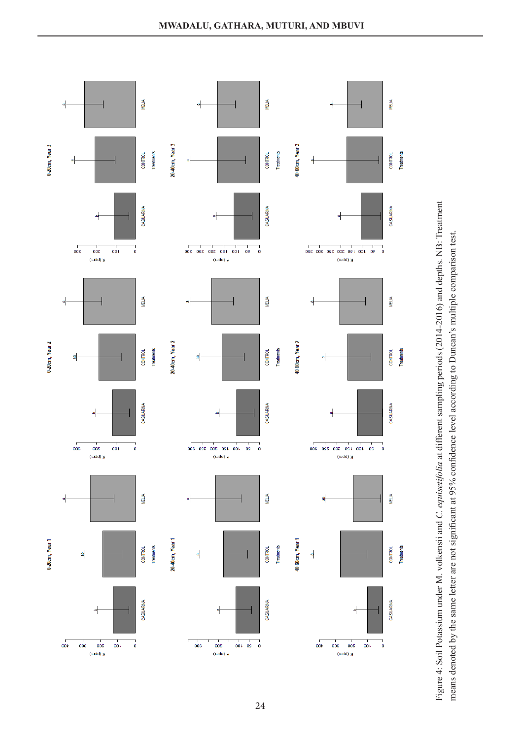

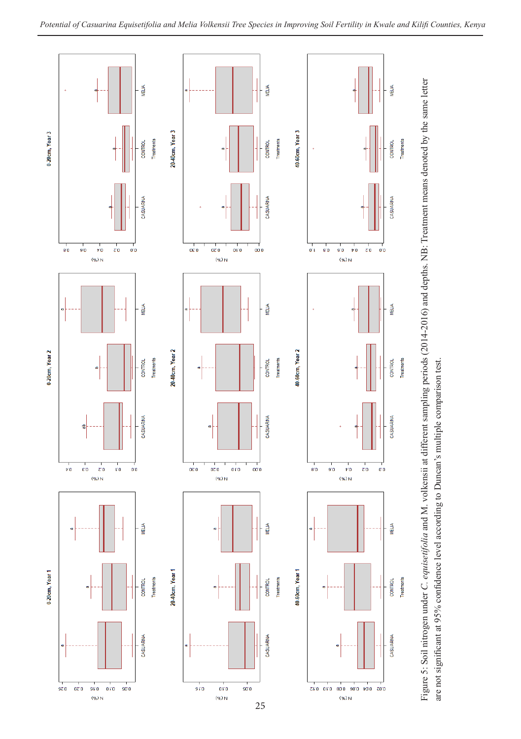

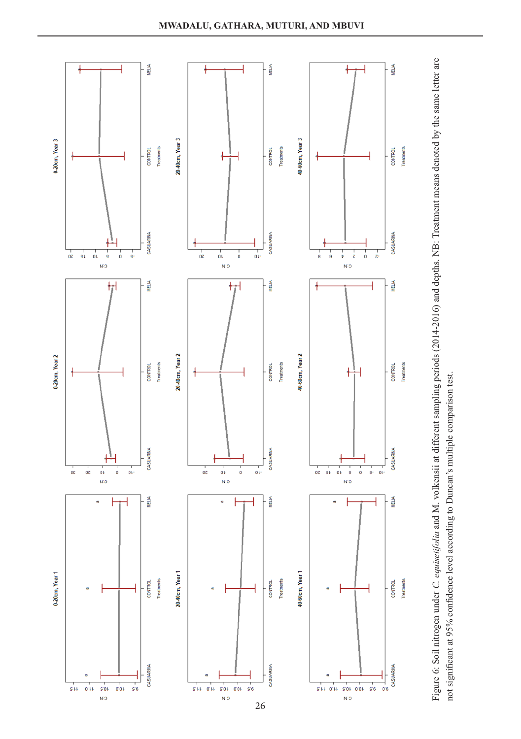

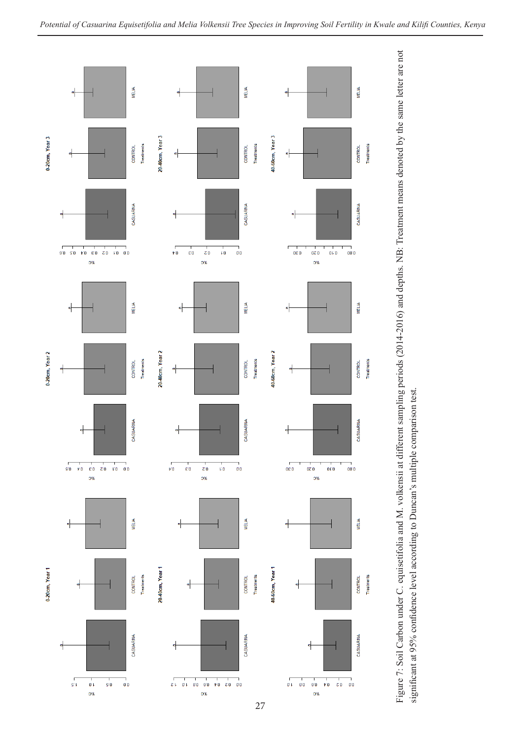

27

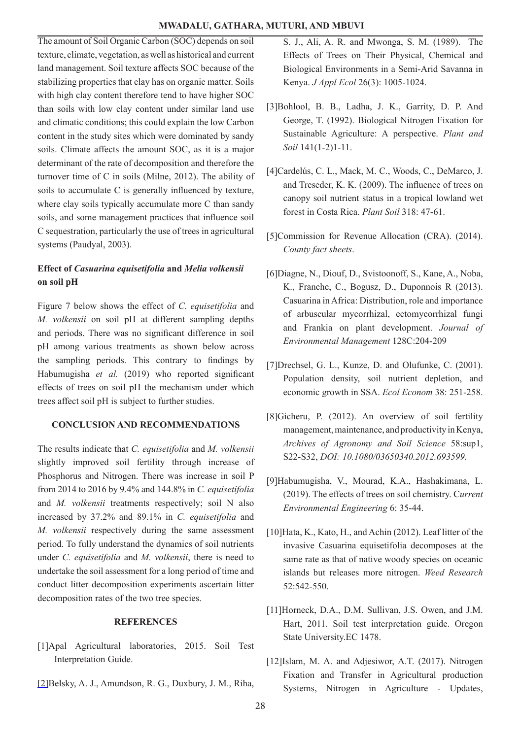#### **MWADALU, GATHARA, MUTURI, AND MBUVI**

The amount of Soil Organic Carbon (SOC) depends on soil texture, climate, vegetation, as well as historical and current land management. Soil texture affects SOC because of the stabilizing properties that clay has on organic matter. Soils with high clay content therefore tend to have higher SOC than soils with low clay content under similar land use and climatic conditions; this could explain the low Carbon content in the study sites which were dominated by sandy soils. Climate affects the amount SOC, as it is a major determinant of the rate of decomposition and therefore the turnover time of C in soils (Milne, 2012). The ability of soils to accumulate C is generally influenced by texture, where clay soils typically accumulate more C than sandy soils, and some management practices that influence soil C sequestration, particularly the use of trees in agricultural systems (Paudyal, 2003).

# **Effect of** *Casuarina equisetifolia* **and** *Melia volkensii* **on soil pH**

Figure 7 below shows the effect of *C. equisetifolia* and *M. volkensii* on soil pH at different sampling depths and periods. There was no significant difference in soil pH among various treatments as shown below across the sampling periods. This contrary to findings by Habumugisha *et al.* (2019) who reported significant effects of trees on soil pH the mechanism under which trees affect soil pH is subject to further studies.

# **CONCLUSION AND RECOMMENDATIONS**

The results indicate that *C. equisetifolia* and *M. volkensii* slightly improved soil fertility through increase of Phosphorus and Nitrogen. There was increase in soil P from 2014 to 2016 by 9.4% and 144.8% in *C. equisetifolia* and *M. volkensii* treatments respectively; soil N also increased by 37.2% and 89.1% in *C. equisetifolia* and *M. volkensii* respectively during the same assessment period. To fully understand the dynamics of soil nutrients under *C. equisetifolia* and *M. volkensii*, there is need to undertake the soil assessment for a long period of time and conduct litter decomposition experiments ascertain litter decomposition rates of the two tree species.

### **REFERENCES**

- [1]Apal Agricultural laboratories, 2015. Soil Test Interpretation Guide.
- [2]Belsky, A. J., Amundson, R. G., Duxbury, J. M., Riha,

S. J., Ali, A. R. and Mwonga, S. M. (1989). The Effects of Trees on Their Physical, Chemical and Biological Environments in a Semi-Arid Savanna in Kenya. *J Appl Ecol* 26(3): 1005-1024.

- [3]Bohlool, B. B., Ladha, J. K., Garrity, D. P. And George, T. (1992). Biological Nitrogen Fixation for Sustainable Agriculture: A perspective. *Plant and Soil* 141(1-2)1-11.
- [4]Cardelús, C. L., Mack, M. C., Woods, C., DeMarco, J. and Treseder, K. K. (2009). The influence of trees on canopy soil nutrient status in a tropical lowland wet forest in Costa Rica. *Plant Soil* 318: 47-61.
- [5]Commission for Revenue Allocation (CRA). (2014). *County fact sheets*.
- [6]Diagne, N., Diouf, D., Svistoonoff, S., Kane, A., Noba, K., Franche, C., Bogusz, D., Duponnois R (2013). Casuarina in Africa: Distribution, role and importance of arbuscular mycorrhizal, ectomycorrhizal fungi and Frankia on plant development. *Journal of Environmental Management* 128C:204-209
- [7]Drechsel, G. L., Kunze, D. and Olufunke, C. (2001). Population density, soil nutrient depletion, and economic growth in SSA. *Ecol Econom* 38: 251-258.
- [8]Gicheru, P. (2012). An overview of soil fertility management, maintenance, and productivity in Kenya, *Archives of Agronomy and Soil Science* 58:sup1, S22-S32, *DOI: 10.1080/03650340.2012.693599.*
- [9]Habumugisha, V., Mourad, K.A., Hashakimana, L. (2019). The effects of trees on soil chemistry. C*urrent Environmental Engineering* 6: 35-44.
- [10]Hata, K., Kato, H., and Achin (2012). Leaf litter of the invasive Casuarina equisetifolia decomposes at the same rate as that of native woody species on oceanic islands but releases more nitrogen. *Weed Research*  52:542-550.
- [11]Horneck, D.A., D.M. Sullivan, J.S. Owen, and J.M. Hart, 2011. Soil test interpretation guide. Oregon State University.EC 1478.
- [12]Islam, M. A. and Adjesiwor, A.T. (2017). Nitrogen Fixation and Transfer in Agricultural production Systems, Nitrogen in Agriculture - Updates,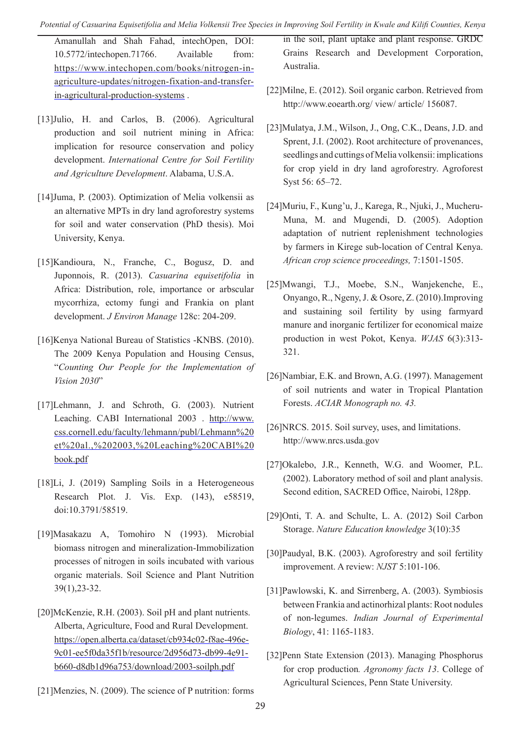*Potential of Casuarina Equisetifolia and Melia Volkensii Tree Species in Improving Soil Fertility in Kwale and Kilifi Counties, Kenya*

Amanullah and Shah Fahad, intechOpen, DOI: 10.5772/intechopen.71766. Available from: https://www.intechopen.com/books/nitrogen-inagriculture-updates/nitrogen-fixation-and-transferin-agricultural-production-systems .

- [13]Julio, H. and Carlos, B. (2006). Agricultural production and soil nutrient mining in Africa: implication for resource conservation and policy development. *International Centre for Soil Fertility and Agriculture Development*. Alabama, U.S.A.
- [14]Juma, P. (2003). Optimization of Melia volkensii as an alternative MPTs in dry land agroforestry systems for soil and water conservation (PhD thesis). Moi University, Kenya.
- [15]Kandioura, N., Franche, C., Bogusz, D. and Juponnois, R. (2013). *Casuarina equisetifolia* in Africa: Distribution, role, importance or arbscular mycorrhiza, ectomy fungi and Frankia on plant development. *J Environ Manage* 128c: 204-209.
- [16]Kenya National Bureau of Statistics -KNBS. (2010). The 2009 Kenya Population and Housing Census, "*Counting Our People for the Implementation of Vision 2030*"
- [17]Lehmann, J. and Schroth, G. (2003). Nutrient Leaching. CABI International 2003 . http://www. css.cornell.edu/faculty/lehmann/publ/Lehmann%20 et%20al.,%202003,%20Leaching%20CABI%20 book.pdf
- [18]Li, J. (2019) Sampling Soils in a Heterogeneous Research Plot. J. Vis. Exp. (143), e58519, doi:10.3791/58519.
- [19]Masakazu A, Tomohiro N (1993). Microbial biomass nitrogen and mineralization-Immobilization processes of nitrogen in soils incubated with various organic materials. Soil Science and Plant Nutrition 39(1),23-32.
- [20]McKenzie, R.H. (2003). Soil pH and plant nutrients. Alberta, Agriculture, Food and Rural Development. https://open.alberta.ca/dataset/cb934c02-f8ae-496e-9c01-ee5f0da35f1b/resource/2d956d73-db99-4e91 b660-d8db1d96a753/download/2003-soilph.pdf
- [21]Menzies, N. (2009). The science of P nutrition: forms

in the soil, plant uptake and plant response. GRDC Grains Research and Development Corporation, Australia.

- [22]Milne, E. (2012). Soil organic carbon. Retrieved from http://www.eoearth.org/ view/ article/ 156087.
- [23]Mulatya, J.M., Wilson, J., Ong, C.K., Deans, J.D. and Sprent, J.I. (2002). Root architecture of provenances, seedlings and cuttings of Melia volkensii: implications for crop yield in dry land agroforestry. Agroforest Syst 56: 65–72.
- [24]Muriu, F., Kung'u, J., Karega, R., Njuki, J., Mucheru-Muna, M. and Mugendi, D. (2005). Adoption adaptation of nutrient replenishment technologies by farmers in Kirege sub-location of Central Kenya. *African crop science proceedings,* 7:1501-1505.
- [25]Mwangi, T.J., Moebe, S.N., Wanjekenche, E., Onyango, R., Ngeny, J. & Osore, Z. (2010).Improving and sustaining soil fertility by using farmyard manure and inorganic fertilizer for economical maize production in west Pokot, Kenya. *WJAS* 6(3):313- 321.
- [26]Nambiar, E.K. and Brown, A.G. (1997). Management of soil nutrients and water in Tropical Plantation Forests. *ACIAR Monograph no. 43.*
- [26]NRCS. 2015. Soil survey, uses, and limitations. http://www.nrcs.usda.gov
- [27]Okalebo, J.R., Kenneth, W.G. and Woomer, P.L. (2002). Laboratory method of soil and plant analysis. Second edition, SACRED Office, Nairobi, 128pp.
- [29]Onti, T. A. and Schulte, L. A. (2012) Soil Carbon Storage. *Nature Education knowledge* 3(10):35
- [30]Paudyal, B.K. (2003). Agroforestry and soil fertility improvement. A review: *NJST* 5:101-106.
- [31]Pawlowski, K. and Sirrenberg, A. (2003). Symbiosis between Frankia and actinorhizal plants: Root nodules of non-legumes. *Indian Journal of Experimental Biology*, 41: 1165-1183.
- [32]Penn State Extension (2013). Managing Phosphorus for crop production*. Agronomy facts 13*. College of Agricultural Sciences, Penn State University.